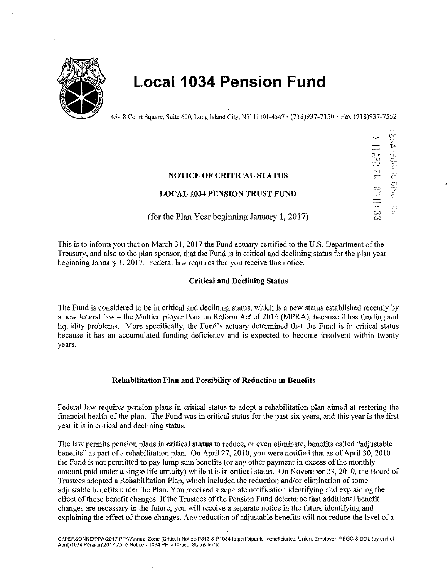

# **Local 1034 Pension Fund**

45-18 Court Square, Suite 600, Long Island City, NY 11101-4347 • (718)937-7150 •Fax (718)937-7552

### **NOTICE OF CRITICAL STATUS**

## **LOCAL 1034 PENSION TRUST FUND**

(for the Plan Year beginning January 1, 2017)

This is to inform you that on March 31, 2017 the Fund actuary certified to the U.S. Department of the Treasury, and also to the plan sponsor, that the Fund is in critical and declining status for the plan year beginning January 1, 2017. Federal law requires that you receive this notice.

#### **Critical and Declining Status**

The Fund is considered to be in critical and declining status, which is a new status established recently by a new federal law – the Multiemployer Pension Reform Act of 2014 (MPRA), because it has funding and liquidity problems. More specifically, the Fund's actuary determined that the Fund is in critical status because it has an accumulated funding deficiency and is expected to become insolvent within twenty years.

#### **Rehabilitation Plan and Possibility of Reduction in Benefits**

Federal law requires pension plans in critical status to adopt a rehabilitation plan aimed at restoring the financial health of the plan. The Fund was in critical status for the past six years, and this year is the first year it is in critical and declining status.

The law permits pension plans in **critical status** to reduce, or even eliminate, benefits called "adjustable benefits" as part of a rehabilitation plan. On April 27, 2010, you were notified that as of April 30, 2010 the Fund is not permitted to pay lump sum benefits (or any other payment in excess of the monthly amount paid under a single life annuity) while it is in critical status. On November 23, 2010, the Board of Trustees adopted a Rehabilitation Plan, which included the reduction and/or elimination of some adjustable benefits under the Plan. You received a separate notification identifying and explaining the effect of those benefit changes. If the Trustees of the Pension Fund determine that additional benefit changes are necessary in the future, you will receive a separate notice in the future identifying and explaining the effect of those changes. Any reduction of adjustable benefits will not reduce the level of a

YEN LIBS .;:- (,) ' C"· ,\_.,} '

,)